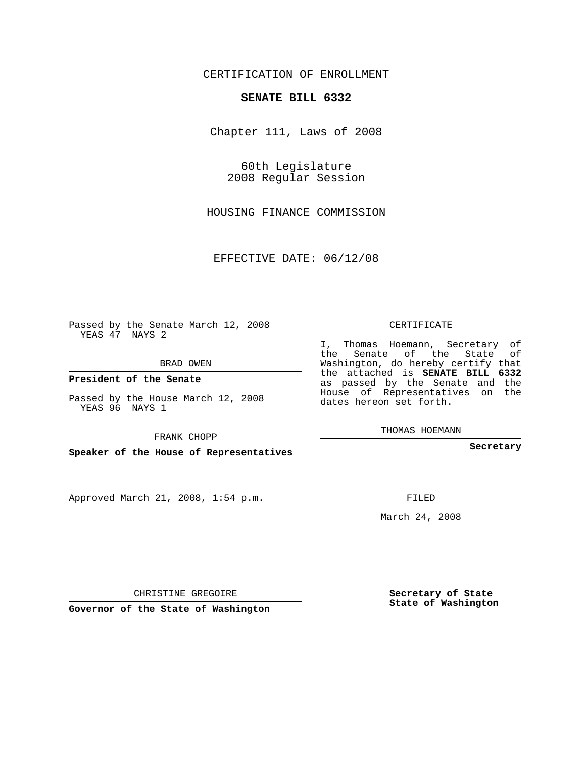CERTIFICATION OF ENROLLMENT

### **SENATE BILL 6332**

Chapter 111, Laws of 2008

60th Legislature 2008 Regular Session

HOUSING FINANCE COMMISSION

EFFECTIVE DATE: 06/12/08

Passed by the Senate March 12, 2008 YEAS 47 NAYS 2

BRAD OWEN

**President of the Senate**

Passed by the House March 12, 2008 YEAS 96 NAYS 1

FRANK CHOPP

**Speaker of the House of Representatives**

Approved March 21, 2008, 1:54 p.m.

CERTIFICATE

I, Thomas Hoemann, Secretary of the Senate of the State of Washington, do hereby certify that the attached is **SENATE BILL 6332** as passed by the Senate and the House of Representatives on the dates hereon set forth.

THOMAS HOEMANN

**Secretary**

FILED

March 24, 2008

**Secretary of State State of Washington**

CHRISTINE GREGOIRE

**Governor of the State of Washington**